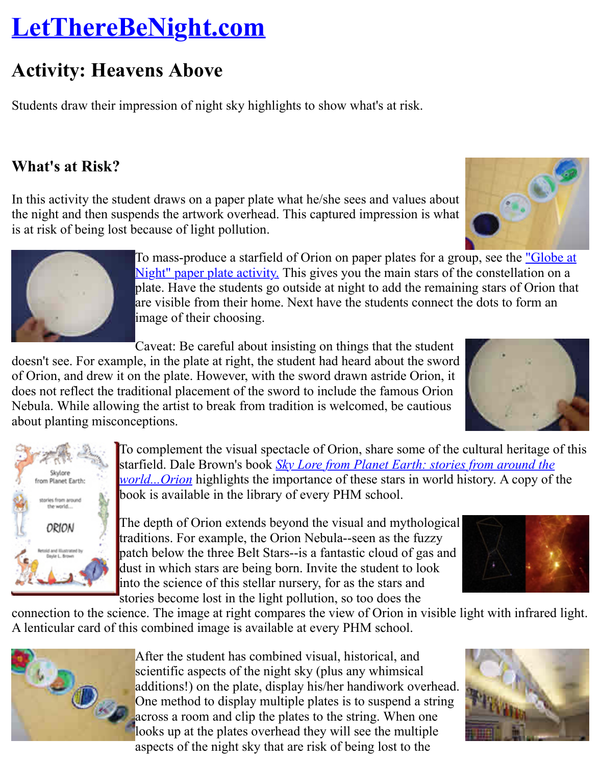Students draw their impression of night sky highlights to show what's at risk.

## **What's at Risk?**

In this activity the student draws on a paper plate what he/she sees and values about the night and then suspends the artwork overhead. This captured impression is what is at risk of being lost because of light pollution.

> To mass-produce a starfield of Orion on paper plates for a group, see the To Night" paper plate activity. This gives you the main stars of the constellation on all  $\mu$ plate. Have the students go outside at night to add the remaining stars are visible from their home. Next have the students connect the dots to image of their choosing.

Caveat: Be careful about insisting on things that the student doesn't see. For examp[le, in the plate at right, the student had heard about the sword](http://analyzer.depaul.edu/paperplate/globe.htm) of Orion, and drew it on the plate. However, with the sword drawn astride Orion, it does not reflect the traditional placement of the sword to include the famous Orion Nebula. While allowing the artist to break from tradition is welcomed, be cautious about planting misconceptions.

> To complement the visual spectacle of Orion, share some of the cultural here of the cultural heritage of the cultural heritage of the cultural heritage of the cultural heritage of the cultural heritage of the cultural heri starfield. Dale Brown's book **Sky Lore from Planet Earth: stories from ara** *world...Orion* highlights the importance of these stars in world history. A book is available in the library of every PHM school.

into the science of this stellar nursery, for as the stars and stories become lost in the light pollution, so too does the

connection to the science. The image at right compares the view of Orion in visible light with A lenticular card of this combined image is available at every PHM school.